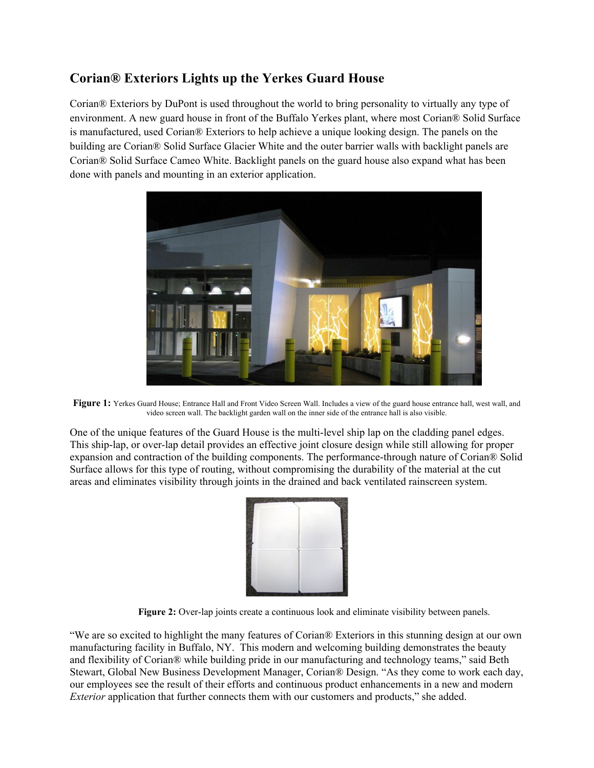## **Corian® Exteriors Lights up the Yerkes Guard House**

Corian® Exteriors by DuPont is used throughout the world to bring personality to virtually any type of environment. A new guard house in front of the Buffalo Yerkes plant, where most Corian® Solid Surface is manufactured, used Corian® Exteriors to help achieve a unique looking design. The panels on the building are Corian® Solid Surface Glacier White and the outer barrier walls with backlight panels are Corian® Solid Surface Cameo White. Backlight panels on the guard house also expand what has been done with panels and mounting in an exterior application.



Figure 1: Yerkes Guard House; Entrance Hall and Front Video Screen Wall. Includes a view of the guard house entrance hall, west wall, and video screen wall. The backlight garden wall on the inner side of the entrance hall is also visible.

One of the unique features of the Guard House is the multi-level ship lap on the cladding panel edges. This ship-lap, or over-lap detail provides an effective joint closure design while still allowing for proper expansion and contraction of the building components. The performance-through nature of Corian® Solid Surface allows for this type of routing, without compromising the durability of the material at the cut areas and eliminates visibility through joints in the drained and back ventilated rainscreen system.



**Figure 2:** Over-lap joints create a continuous look and eliminate visibility between panels.

"We are so excited to highlight the many features of Corian® Exteriors in this stunning design at our own manufacturing facility in Buffalo, NY. This modern and welcoming building demonstrates the beauty and flexibility of Corian® while building pride in our manufacturing and technology teams," said Beth Stewart, Global New Business Development Manager, Corian® Design. "As they come to work each day, our employees see the result of their efforts and continuous product enhancements in a new and modern *Exterior* application that further connects them with our customers and products," she added.